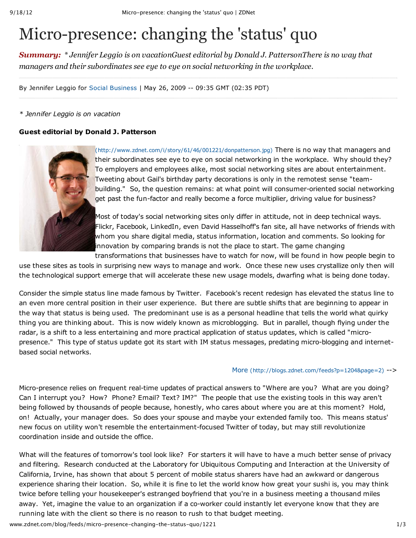# Micro-presence: changing the 'status' quo

*Summary: \* Jennifer Leggio is on vacationGuest editorial by Donald J. PattersonThere is no way that managers and their subordinates see eye to eye on social networking in the workplace.*

By Jennifer Leggio for Social Business | May 26, 2009 -- 09:35 GMT (02:35 PDT)

## *\* Jennifer Leggio is on vacation*

# **Guest editorial by Donald J. Patterson**



(http://www.zdnet.com/i/story/61/46/001221/donpatterson.jpg) There is no way that managers and their subordinates see eye to eye on social networking in the workplace. Why should they? To employers and employees alike, most social networking sites are about entertainment. Tweeting about Gail's birthday party decorations is only in the remotest sense "teambuilding." So, the question remains: at what point will consumer-oriented social networking get past the fun-factor and really become a force multiplier, driving value for business?

Most of today's social networking sites only differ in attitude, not in deep technical ways. Flickr, Facebook, LinkedIn, even David Hasselhoff's fan site, all have networks of friends with whom you share digital media, status information, location and comments. So looking for innovation by comparing brands is not the place to start. The game changing

transformations that businesses have to watch for now, will be found in how people begin to use these sites as tools in surprising new ways to manage and work. Once these new uses crystallize only then will the technological support emerge that will accelerate these new usage models, dwarfing what is being done today.

Consider the simple status line made famous by Twitter. Facebook's recent redesign has elevated the status line to an even more central position in their user experience. But there are subtle shifts that are beginning to appear in the way that status is being used. The predominant use is as a personal headline that tells the world what quirky thing you are thinking about. This is now widely known as microblogging. But in parallel, though flying under the radar, is a shift to a less entertaining and more practical application of status updates, which is called "micropresence." This type of status update got its start with IM status messages, predating micro-blogging and internetbased social networks.

### More (http://blogs.zdnet.com/feeds?p=1204&page=2) -->

Micro-presence relies on frequent real-time updates of practical answers to "Where are you? What are you doing? Can I interrupt you? How? Phone? Email? Text? IM?" The people that use the existing tools in this way aren't being followed by thousands of people because, honestly, who cares about where you are at this moment? Hold, on! Actually, your manager does. So does your spouse and maybe your extended family too. This means status' new focus on utility won't resemble the entertainment-focused Twitter of today, but may still revolutionize coordination inside and outside the office.

What will the features of tomorrow's tool look like? For starters it will have to have a much better sense of privacy and filtering. Research conducted at the Laboratory for Ubiquitous Computing and Interaction at the University of California, Irvine, has shown that about 5 percent of mobile status sharers have had an awkward or dangerous experience sharing their location. So, while it is fine to let the world know how great your sushi is, you may think twice before telling your housekeeper's estranged boyfriend that you're in a business meeting a thousand miles away. Yet, imagine the value to an organization if a co-worker could instantly let everyone know that they are running late with the client so there is no reason to rush to that budget meeting.

www.zdnet.com/blog/feeds/micro-presence-changing-the-status-quo/1221 1/3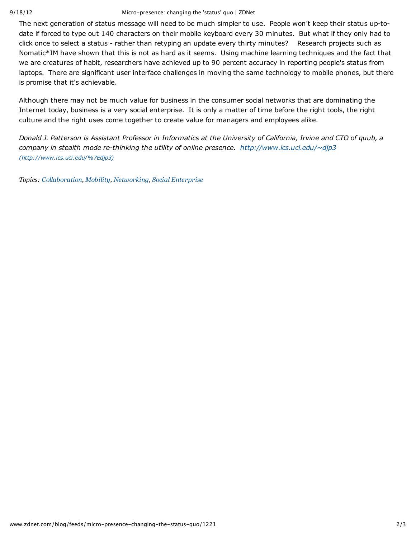#### 9/18/12 Micro-presence: changing the 'status' quo | ZDNet

The next generation of status message will need to be much simpler to use. People won't keep their status up-todate if forced to type out 140 characters on their mobile keyboard every 30 minutes. But what if they only had to click once to select a status - rather than retyping an update every thirty minutes? Research projects such as Nomatic\*IM have shown that this is not as hard as it seems. Using machine learning techniques and the fact that we are creatures of habit, researchers have achieved up to 90 percent accuracy in reporting people's status from laptops. There are significant user interface challenges in moving the same technology to mobile phones, but there is promise that it's achievable.

Although there may not be much value for business in the consumer social networks that are dominating the Internet today, business is a very social enterprise. It is only a matter of time before the right tools, the right culture and the right uses come together to create value for managers and employees alike.

Donald J. Patterson is Assistant Professor in Informatics at the University of California, Irvine and CTO of quub, a *company in stealth mode re-thinking the utility of online presence. http://www.ics.uci.edu/~djp3 (http://www.ics.uci.edu/%7Edjp3)*

*Topics: Collaboration, Mobility, Networking, Social Enterprise*